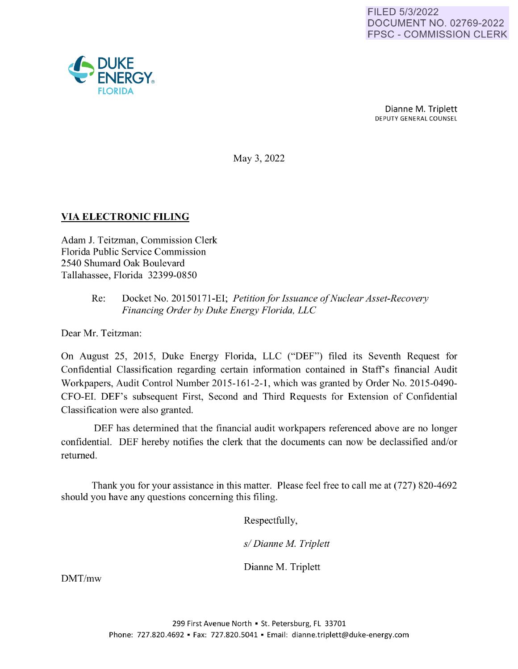

Dianne M. Triplett DEPUTY GENERAL COUNSEL

May 3, 2022

## **VIA ELECTRONIC FILING**

Adam J. Teitzman, Commission Clerk Florida Public Service Commission 2540 Shumard Oak Boulevard Tallahassee, Florida 32399-0850

> Re: Docket No. 20150171-EI; *Petition for Issuance of Nuclear Asset-Recovery Financing Order by Duke Energy Florida, LLC*

Dear Mr. Teitzman:

On August 25, 2015, Duke Energy Florida, LLC ("DEF") filed its Seventh Request for Confidential Classification regarding certain information contained in Staff's financial Audit Workpapers, Audit Control Number 2015-161-2-1, which was granted by Order No. 2015-0490- CFO-EI. DEF's subsequent First, Second and Third Requests for Extension of Confidential Classification were also granted.

DEF has determined that the financial audit workpapers referenced above are no longer confidential. DEF hereby notifies the clerk that the documents can now be declassified and/or returned.

Thank you for your assistance in this matter. Please feel free to call me at (727) 820-4692 should you have any questions concerning this filing.

Respectfully,

*s/ Dianne M. Triplett* 

Dianne M. Triplett

DMT/mw